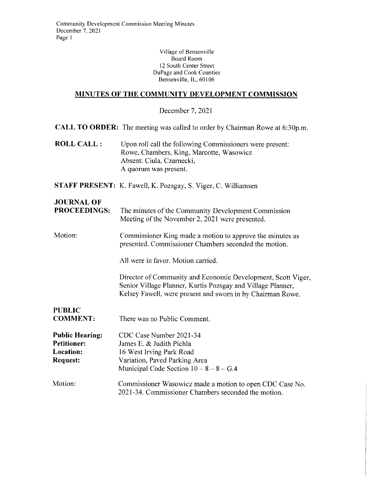**Village of Bensenville**  Board Room 12 South Center Street DuPage and Cook Counties Bensenville, IL, 60106

#### **MINUTES OF THE COMMUNITY DEVELOPMENT COMMISSION**

December 7, 2021

**CALL TO ORDER:** The meeting was called to order by Chairman Rowe at 6:30p.m.

**ROLL CALL:** Upon roll call the following Commissioners were present: Rowe, Chambers, King, Marcotte, Wasowicz Absent: Ciula, Czarnecki, A quorum was present.

**STAFF PRESENT:** K. Fawell, K. Pozsgay, S. Viger, C. Williamsen

# **JOURNAL OF**

| <b>PROCEEDINGS:</b> | The minutes of the Community Development Commission |
|---------------------|-----------------------------------------------------|
|                     | Meeting of the November 2, 2021 were presented.     |

Motion: Commissioner King made a motion to approve the minutes as presented. Commissioner Chambers seconded the motion.

All were in favor. Motion carried.

Director of Community and Economic Development, Scott Viger, Senior Village Planner, Kurtis Pozsgay and Village Planner, Kelsey Fawell, were present and sworn in by Chairman Rowe.

**PUBLIC COMMENT:**  There was no Public Comment.

**Public Hearing: Petitioner: Location: Request:**  CDC Case Number 2021-34 James E. & Judith Pichla 16 West Irving Park Road Variation, Paved Parking Area Municipal Code Section  $10 - 8 - 8 - G.4$ 

Motion: Commissioner Wasowicz made a motion to open CDC Case No. 2021-34. Commissioner Chambers seconded the motion.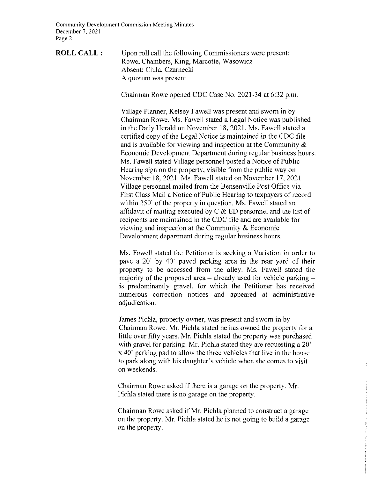**Community Development Commission Meeting Minutes**  December 7. 2021 Page 2

**ROLL CALL:** Upon roll call the following Commissioners were present: Rowe, Chambers, King, Marcotte, Wasowicz Absent: Ciula, Czarnecki A quorum was present

Chairman Rowe opened CDC Case No. 2021-34 at 6:32 p.m.

Village Planner, Kelsey Fawell was present and sworn in by Chairman Rowe. Ms. Fawell stated a Legal Notice was published in the Daily Herald on November 18, 2021. Ms. Fawell stated a certified copy of the Legal Notice is maintained in the CDC file and is available for viewing and inspection at the Community & Economic Development Department during regular business hours. Ms. Fawell stated Village personnel posted a Notice of Public Hearing sign on the property, visible from the public way on November 18, 2021. Ms. Fawell stated on November 17, 2021 Village personnel mailed from the Bensenville Post Office via First Class Mail a Notice of Public Hearing to taxpayers of record within 250' of the property in question. Ms. Fawell stated an affidavit of mailing executed by  $C \& ED$  personnel and the list of recipients are maintained in the CDC file and are available for viewing and inspection at the Community & Economic Development department during regular business hours.

Ms. Fawell stated the Petitioner is seeking a Variation in order to pave a 20· by 40' paved parking area in the rear yard of their property to be accessed from the alley. Ms. Fawell stated the majority of the proposed area  $-$  already used for vehicle parking  $$ is predominantly gravel, for which the Petitioner has received numerous correction notices and appeared at administrative adjudication.

James Pichla, property owner, was present and sworn in by Chairman Rowe. Mr. Pichla stated he has owned the property for a little over fifty years. Mr. Pichla stated the property was purchased with gravel for parking. Mr. Pichla stated they are requesting a 20<sup>'</sup> x 40' parking pad to allow the three vehicles that live in the house to park along with his daughter's vehicle when she comes to visit on weekends.

Chairman Rowe asked if there is a garage on the property. Mr. Pichla stated there is no garage on the property.

Chairman Rowe asked if Mr. Pichla planned to construct a garage on the property. Mr. Pichla stated he is not going to build a garage on the property.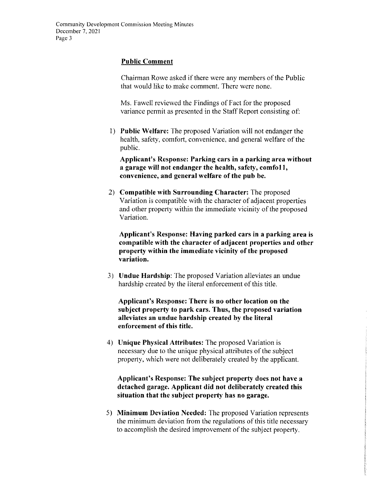#### **Public Comment**

Chairman Rowe asked if there were any members of the Public that would like to make comment. There were none.

Ms. Fawell reviewed the Findings of Fact for the proposed variance permit as presented in the Staff Report consisting of:

I) **Public Welfare:** The proposed Variation will not endanger the health, safety, comfort, convenience, and general welfare of the public.

**Applicant's Response: Parking cars in a parking area without a garage will not endanger the health, safety, comfoll, convenience, and general welfare of the pub be.** 

2) **Compatible with Surrounding Character:** The proposed Variation is compatible with the character of adjacent properties and other property within the immediate vicinity of the proposed Variation.

**Applicant's Response: Having parked cars in a parking area is compatible with the character of adjacent properties and other property within the immediate vicinity of the proposed variation.** 

3) **Undue Hardship:** The proposed Variation alleviates an undue hardship created by the literal enforcement of this title.

**Applicant's Response: There is no other location on the subject property to park cars. Thus, the proposed variation alleviates an undue hardship created by the literal enforcement of this title.** 

4) **Unique Physical Attributes:** The proposed Variation is necessary due to the unique physical attributes of the subject property, which were not deliberately created by the applicant.

**Applicant's Response: The subject property does not have a detached garage. Applicant did not deliberately created this situation that the subject property has no garage.** 

5) **Minimum Deviation Needed:** The proposed Variation represents the minimum deviation from the regulations of this title necessary to accomplish the desired improvement of the subject property.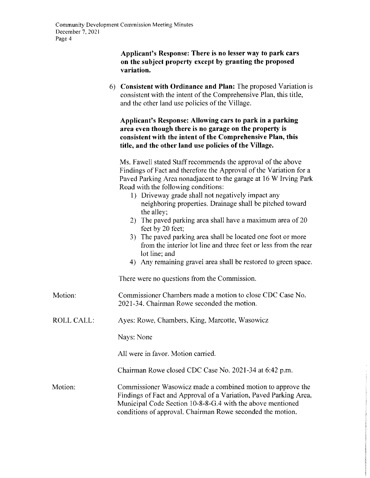#### **Applicant's Response: There is no lesser way to park cars on the subject property except by granting the proposed variation.**

6) **Consistent with Ordinance and Plan:** The proposed Variation is consistent with the intent of the Comprehensive Plan, this title, and the other land use policies of the Village.

#### **Applicant's Response: Allowing cars to park in a parking area even though there is no garage on the property is consistent with the intent of the Comprehensive Plan, this title, and the other land use policies of the Village.**

Ms. Fawell stated Staff recommends the approval of the above Findings of Fact and therefore the Approval of the Variation for a Paved Parking Area nonadjacent to the garage at 16 W Irving Park Road with the following conditions:

- I) Driveway grade shall not negatively impact any neighboring properties. Drainage shall be pitched toward the alley;
- 2) The paved parking area shall have a maximum area of 20 feet by 20 feet;
- 3) The paved parking area shall be located one foot or more from the interior lot line and three feet or less from the rear lot line; and
- 4) Any remaining gravel area shall be restored to green space.

There were no questions from the Commission.

- Motion: Commissioner Chambers made a motion to close CDC Case No. 2021-34. Chairman Rowe seconded the motion.
- ROLL CALL: Ayes: Rowe, Chambers, King, Marcotte, Wasowicz

Nays: None

All were in favor. Motion carried.

Chairman Rowe closed CDC Case No. 2021-34 at 6:42 p.m.

Motion: Commissioner Wasowicz made a combined motion to approve the Findings of Fact and Approval of a Variation, Paved Parking Area, Municipal Code Section 10-8-8-G.4 with the above mentioned conditions of approval. Chairman Rowe seconded the motion.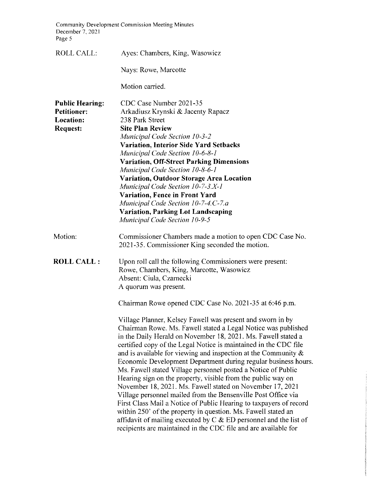**Community Development Commission Meeting Minutes**  December 7, 2021 Page 5

| <b>ROLL CALL:</b>                                                            | Ayes: Chambers, King, Wasowicz                                                                                                                                                                                                                                                                                                                                                                                                                                                                                                                                                                                                                                                                                                                                                                                                                                                                                                                                                                                      |
|------------------------------------------------------------------------------|---------------------------------------------------------------------------------------------------------------------------------------------------------------------------------------------------------------------------------------------------------------------------------------------------------------------------------------------------------------------------------------------------------------------------------------------------------------------------------------------------------------------------------------------------------------------------------------------------------------------------------------------------------------------------------------------------------------------------------------------------------------------------------------------------------------------------------------------------------------------------------------------------------------------------------------------------------------------------------------------------------------------|
|                                                                              | Nays: Rowe, Marcotte                                                                                                                                                                                                                                                                                                                                                                                                                                                                                                                                                                                                                                                                                                                                                                                                                                                                                                                                                                                                |
|                                                                              | Motion carried.                                                                                                                                                                                                                                                                                                                                                                                                                                                                                                                                                                                                                                                                                                                                                                                                                                                                                                                                                                                                     |
| <b>Public Hearing:</b><br><b>Petitioner:</b><br>Location:<br><b>Request:</b> | CDC Case Number 2021-35<br>Arkadiusz Krynski & Jacenty Rapacz<br>238 Park Street<br><b>Site Plan Review</b><br><b>Municipal Code Section 10-3-2</b><br><b>Variation, Interior Side Yard Setbacks</b><br>Municipal Code Section 10-6-8-1<br><b>Variation, Off-Street Parking Dimensions</b><br>Municipal Code Section 10-8-6-1<br>Variation, Outdoor Storage Area Location<br>Municipal Code Section 10-7-3.X-1<br><b>Variation, Fence in Front Yard</b><br>Municipal Code Section 10-7-4.C-7.a<br><b>Variation, Parking Lot Landscaping</b><br><b>Municipal Code Section 10-9-5</b>                                                                                                                                                                                                                                                                                                                                                                                                                                 |
| Motion:                                                                      | Commissioner Chambers made a motion to open CDC Case No.<br>2021-35. Commissioner King seconded the motion.                                                                                                                                                                                                                                                                                                                                                                                                                                                                                                                                                                                                                                                                                                                                                                                                                                                                                                         |
| <b>ROLL CALL :</b>                                                           | Upon roll call the following Commissioners were present:<br>Rowe, Chambers, King, Marcotte, Wasowicz<br>Absent: Ciula, Czarnecki<br>A quorum was present.                                                                                                                                                                                                                                                                                                                                                                                                                                                                                                                                                                                                                                                                                                                                                                                                                                                           |
|                                                                              | Chairman Rowe opened CDC Case No. 2021-35 at 6:46 p.m.<br>Village Planner, Kelsey Fawell was present and sworn in by<br>Chairman Rowe. Ms. Fawell stated a Legal Notice was published<br>in the Daily Herald on November 18, 2021. Ms. Fawell stated a<br>certified copy of the Legal Notice is maintained in the CDC file<br>and is available for viewing and inspection at the Community $\&$<br>Economic Development Department during regular business hours.<br>Ms. Fawell stated Village personnel posted a Notice of Public<br>Hearing sign on the property, visible from the public way on<br>November 18, 2021. Ms. Fawell stated on November 17, 2021<br>Village personnel mailed from the Bensenville Post Office via<br>First Class Mail a Notice of Public Hearing to taxpayers of record<br>within 250' of the property in question. Ms. Fawell stated an<br>affidavit of mailing executed by $C & E$ ED personnel and the list of<br>recipients are maintained in the CDC file and are available for |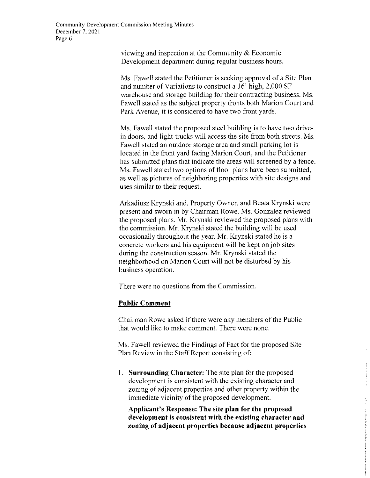viewing and inspection at the Community & Economic Development department during regular business hours.

Ms. Fawell stated the Petitioner is seeking approval of a Site Plan and number of Variations to construct a 16' high, 2,000 SF warehouse and storage building for their contracting business. Ms. Fawell stated as the subject property fronts both Marion Court and Park Avenue, it is considered to have two front yards.

Ms. Fawell stated the proposed steel building is to have two drivein doors. and light-trucks will access the site from both streets. Ms. Fawell stated an outdoor storage area and small parking lot is located in the front yard facing Marion Court, and the Petitioner has submitted plans that indicate the areas will screened by a fence. Ms. Fawell stated two options of floor plans have been submitted, as well as pictures of neighboring properties with site designs and uses similar to their request.

Arkadiusz Krynski and, Property Owner, and Beata Krynski were present and sworn in by Chairman Rowe. Ms. Gonzalez reviewed the proposed plans. Mr. Krynski reviewed the proposed plans with the commission. Mr. Krynski stated the building will be used occasionally throughout the year. Mr. Krynski stated he is a concrete workers and his equipment will be kept on job sites during the construction season. Mr. Krynski stated the neighborhood on Marion Court will not be disturbed by his business operation.

There were no questions from the Commission.

#### **Public Comment**

Chairman Rowe asked if there were any members of the Public that would like to make comment. There were none.

Ms. Fawell reviewed the Findings of Fact for the proposed Site Plan Review in the Staff Report consisting of:

1. **Surrounding Character:** The site plan for the proposed development is consistent with the existing character and zoning of adjacent properties and other property within the immediate vicinity of the proposed development.

**Applicant's Response: The site plan for the proposed development is consistent with the existing character and zoning of adjacent properties because adjacent properties**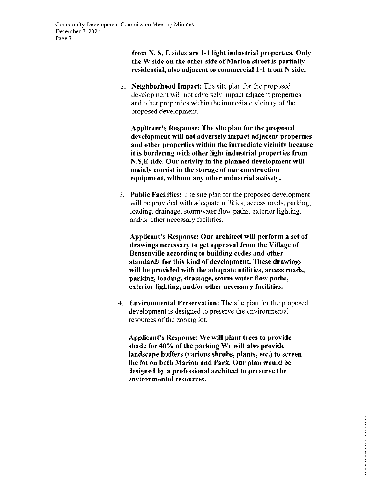# **from N, S, E sides are 1-1 light industrial properties. Only the W side on the other side of Marion street is partially residential, also adjacent to commercial 1-1 from N side.**

2. **Neighborhood Impact:** The site plan for the proposed development will not adversely impact adjacent properties and other properties within the immediate vicinity of the proposed development.

**Applicant's Response: The site plan for the proposed development will not adversely impact adjacent properties and other properties within the immediate vicinity because it is bordering with other light industrial properties from N,S,E side. Our activity in the planned development will mainly consist in the storage of our construction equipment, without any other industrial activity.** 

3. **Public Facilities:** The site plan for the proposed development will be provided with adequate utilities, access roads, parking, loading, drainage, stormwater flow paths, exterior lighting, and/or other necessary facilities.

**Applicant's Response: Our architect will perform a set of drawings necessary to get approval from the Village of Bensenville according to building codes and other standards for this kind of development. These drawings will be provided with the adequate utilities, access roads, parking, loading, drainage, storm water flow paths, exterior lighting, and/or other necessary facilities.** 

4. **Environmental Preservation:** The site plan for the proposed development is designed to preserve the environmental resources of the zoning lot.

**Applicant's Response: We will plant trees to provide shade for 40% of the parking We will also provide landscape buffers (various shrubs, plants, etc.) to screen the lot on both Marion and Park. Our plan would be designed by a professional architect to preserve the environmental resources.**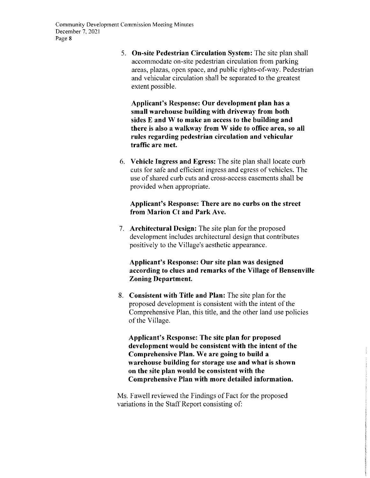5. **On-site Pedestrian Circulation System:** The site plan shall accommodate on-site pedestrian circulation from parking areas, plazas, open space, and public rights-of-way. Pedestrian and vehicular circulation shall be separated to the greatest extent possible.

**Applicant's Response: Our development plan has a small warehouse building with driveway from both sides E and W to make an access to the building and there is also a walkway from W side to office area, so all rules regarding pedestrian circulation and vehicular traffic are met.** 

6. **Vehicle Ingress and Egress:** The site plan shall locate curb cuts for safe and efficient ingress and egress of vehicles. The use of shared curb cuts and cross-access easements shall be provided when appropriate.

# **Applicant's Response: There are no curbs on the street from Marion Ct and Park Ave.**

7. **Architectural Design:** The site plan for the proposed development includes architectural design that contributes positively to the Village's aesthetic appearance.

#### **Applicant's Response: Our site plan was designed according to clues and remarks of the Village of Bensenville Zoning Department.**

8. **Consistent with Title and Plan:** The site plan for the proposed development is consistent with the intent of the Comprehensive Plan, this title, and the other land use policies of the Village.

**Applicant's Response: The site plan for proposed development would be consistent with the intent of the Comprehensive Plan. We are going to build a warehouse building for storage use and what is shown on the site plan would be consistent with the Comprehensive Plan with more detailed information.** 

Ms. Fawell reviewed the Findings of Fact for the proposed variations in the Staff Report consisting of: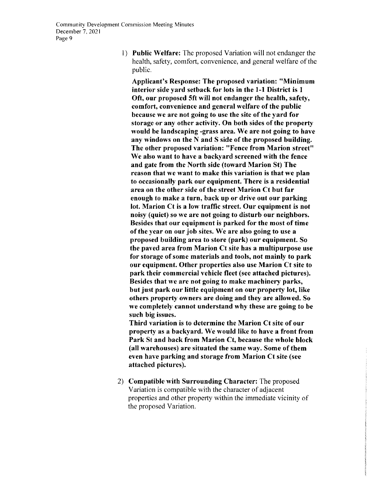I) Public Welfare: The proposed Variation will not endanger the health, safety, comfort, convenience, and general welfare of the public.

Applicant's Response: The proposed variation: "Minimum interior side yard setback for lots in the 1-1 District is I Oft, our proposed 5ft will not endanger the health, safety, comfort, convenience and general welfare of the public because we are not going to use the site of the yard for storage or any other activity. On both sides of the property would be landscaping -grass area. We are not going to have any windows on the N and S side of the proposed building. The other proposed variation: "Fence from Marion street" We also want to have a backyard screened with the fence and gate from the North side (toward Marion St) The reason that we want to make this variation is that we plan to occasionally park our equipment. There is a residential area on the other side of the street Marion Ct but far enough to make a turn, back up or drive out our parking lot. Marion Ct is a low traffic street. Our equipment is not noisy (quiet) so we are not going to disturb our neighbors. Besides that our equipment is parked for the most of time of the year on our job sites. We are also going to use a proposed building area to store (park) our equipment. So the paved area from Marion Ct site has a multipurpose use for storage of some materials and tools, not mainly to park our equipment. Other properties also use Marion Ct site to park their commercial vehicle fleet (see attached pictures). Besides that we are not going to make machinery parks, but just park our little equipment on our property lot, like others property owners are doing and they are allowed. So we completely cannot understand why these are going to be such big issues.

Third variation is to determine the Marion Ct site of our property as a backyard. We would like to have a front from Park St and back from Marion Ct, because the whole block (all warehouses) are situated the same way. Some of them even have parking and storage from Marion Ct site (see attached pictures).

2) Compatible with Surrounding Character: The proposed Variation is compatible with the character of adjacent properties and other property within the immediate vicinity of the proposed Variation.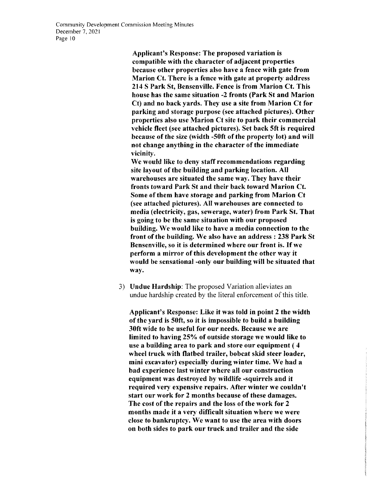Applicant's Response: The proposed variation is compatible with the character of adjacent properties because other properties also have a fence with gate from Marion Ct. There is a fence with gate at property address 214 S Park St, Bensenville. Fence is from Marion Ct. This house has the same situation -2 fronts (Park St and Marion Ct) and no back yards. They use a site from Marion Ct for parking and storage purpose (see attached pictures). Other properties also use Marion Ct site to park their commercial vehicle fleet (see attached pictures). Set back 5ft is required because of the size (width -S0ft of the property lot) and will not change anything in the character of the immediate vicinity.

We would like to deny staff recommendations regarding site layout of the building and parking location. All warehouses are situated the same way. They have their fronts toward Park St and their back toward Marion Ct. Some of them have storage and parking from Marion Ct (see attached pictures). All warehouses are connected to media (electricity, gas, sewerage, water) from Park St. That is going to be the same situation with our proposed building. We would like to have a media connection to the front of the building. We also have an address: 238 Park St Bensenville, so it is determined where our front is. If we perform a mirror of this development the other way it would be sensational -only our building will be situated that way.

3) Undue Hardship: The proposed Variation alleviates an undue hardship created by the literal enforcement of this title.

Applicant's Response: Like it was told in point 2 the width of the yard is 50ft, so it is impossible to build a building 30ft wide to be useful for our needs. Because we are limited to having 25% of outside storage we would like to use a building area to park and store our equipment ( 4 wheel truck with flatbed trailer, bobcat skid steer loader, mini excavator) especially during winter time. We had a bad experience last winter where all our construction equipment was destroyed by wildlife -squirrels and it required very expensive repairs. After winter we couldn't start our work for 2 months because of these damages. The cost of the repairs and the loss of the work for 2 months made it a very difficult situation where we were close to bankruptcy. We want to use the area with doors on both sides to park our truck and trailer and the side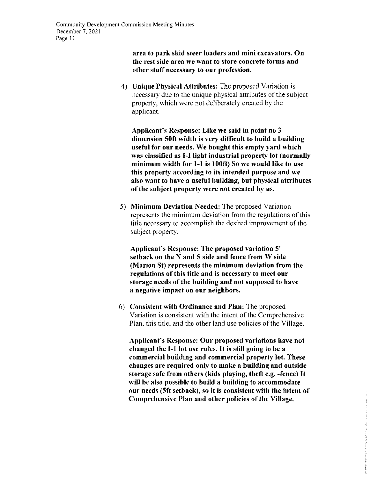**area to park skid steer loaders and mini excavators. On the rest side area we want to store concrete forms and other stuff necessary to our profession.** 

4) **Unique Physical Attributes:** The proposed Variation is necessary due to the unique physical attributes of the subject property, which were not deliberately created by the applicant.

**Applicant's Response: Like we said in point no 3 dimension 50ft width is very difficult to build a building useful for our needs. We bought this empty yard which was classified as 1-1 light industrial property lot (normally minimum width for 1-1 is 100ft) So we would like to use this property according to its intended purpose and we also want to have a useful building, but physical attributes of the subject property were not created by us.** 

5) **Minimum Deviation Needed:** The proposed Variation represents the minimum deviation from the regulations of this title necessary to accomplish the desired improvement of the subject property.

**Applicant's Response: The proposed variation 5' setback on the N and S side and fence from W side (Marion St) represents the minimum deviation from the regulations of this title and is necessary to meet our storage needs of the building and not supposed to have a negative impact on our neighbors.** 

6) **Consistent with Ordinance and Plan:** The proposed Variation is consistent with the intent of the Comprehensive Plan, this title, and the other land use policies of the Village.

**Applicant's Response: Our proposed variations have not changed the 1-1 lot use rules.** It **is still going to be a commercial building and commercial property lot. These changes are required only to make a building and outside storage safe from others (kids playing, theft e.g. -fence)** It **will be also possible to build a building to accommodate our needs (5ft setback), so it is consistent with the intent of Comprehensive Plan and other policies of the Village.**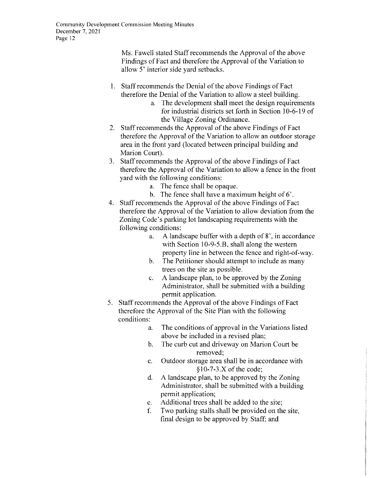Ms. Fawell stated Staff recommends the Approval of the above Findings of Fact and therefore the Approval of the Variation to allow 5' interior side yard setbacks.

- I. Staff recommends the Denial of the above Findings of Fact therefore the Denial of the Variation to allow a steel building.
	- a. The development shall meet the design requirements for industrial districts set forth in Section 10-6-19 of the Village Zoning Ordinance.
- 2. Staff recommends the Approval of the above Findings of Fact therefore the Approval of the Variation to allow an outdoor storage area in the front yard (located between principal building and Marion Court).
- 3. Staff recommends the Approval of the above Findings of Fact therefore the Approval of the Variation to allow a fence in the front yard with the following conditions:
	- a. The fence shall be opaque.
	- b. The fence shall have a maximum height of 6'.
- 4. Staff recommends the Approval of the above Findings of Fact therefore the Approval of the Variation to allow deviation from the Zoning Code's parking lot landscaping requirements with the following conditions:
	- a. A landscape buffer with a depth of 8', in accordance with Section  $10-9-5.B$ , shall along the western property line in between the fence and right-of-way.
	- b. The Petitioner should attempt to include as many trees on the site as possible.
	- c. A landscape plan, to be approved by the Zoning Administrator, shall be submitted with a building permit application.
- 5. Staff recommends the Approval of the above Findings of Fact therefore the Approval of the Site Plan with the following conditions:
	- a. The conditions of approval in the Variations listed above be included in a revised plan;
	- b. The curb cut and driveway on Marion Court be removed;
	- c. Outdoor storage area shall be in accordance with  $$10-7-3.X$  of the code;
	- d. A landscape plan, to be approved by the Zoning Administrator, shall be submitted with a building permit application;
	- e. Additional trees shall be added to the site;
	- f. Two parking stalls shall be provided on the site, final design to be approved by Staff; and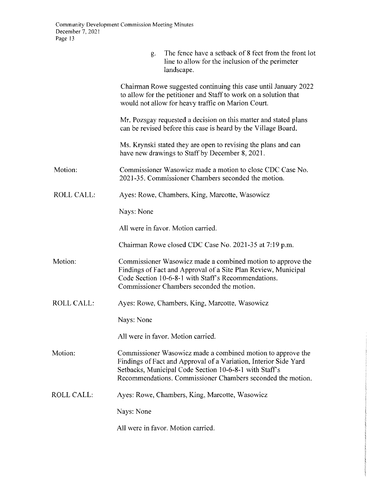|                   | The fence have a setback of 8 feet from the front lot<br>g.<br>line to allow for the inclusion of the perimeter<br>landscape.                                                                                                                            |
|-------------------|----------------------------------------------------------------------------------------------------------------------------------------------------------------------------------------------------------------------------------------------------------|
|                   | Chairman Rowe suggested continuing this case until January 2022<br>to allow for the petitioner and Staff to work on a solution that<br>would not allow for heavy traffic on Marion Court.                                                                |
|                   | Mr. Pozsgay requested a decision on this matter and stated plans<br>can be revised before this case is heard by the Village Board.                                                                                                                       |
|                   | Ms. Krynski stated they are open to revising the plans and can<br>have new drawings to Staff by December 8, 2021.                                                                                                                                        |
| Motion:           | Commissioner Wasowicz made a motion to close CDC Case No.<br>2021-35. Commissioner Chambers seconded the motion.                                                                                                                                         |
| ROLL CALL:        | Ayes: Rowe, Chambers, King, Marcotte, Wasowicz                                                                                                                                                                                                           |
|                   | Nays: None                                                                                                                                                                                                                                               |
|                   | All were in favor. Motion carried.                                                                                                                                                                                                                       |
|                   | Chairman Rowe closed CDC Case No. 2021-35 at 7:19 p.m.                                                                                                                                                                                                   |
| Motion:           | Commissioner Wasowicz made a combined motion to approve the<br>Findings of Fact and Approval of a Site Plan Review, Municipal<br>Code Section 10-6-8-1 with Staff's Recommendations.<br>Commissioner Chambers seconded the motion.                       |
| <b>ROLL CALL:</b> | Ayes: Rowe, Chambers, King, Marcotte, Wasowicz                                                                                                                                                                                                           |
|                   | Nays: None                                                                                                                                                                                                                                               |
|                   | All were in favor. Motion carried.                                                                                                                                                                                                                       |
| Motion:           | Commissioner Wasowicz made a combined motion to approve the<br>Findings of Fact and Approval of a Variation, Interior Side Yard<br>Setbacks, Municipal Code Section 10-6-8-1 with Staff's<br>Recommendations. Commissioner Chambers seconded the motion. |
| <b>ROLL CALL:</b> | Ayes: Rowe, Chambers, King, Marcotte, Wasowicz                                                                                                                                                                                                           |
|                   | Nays: None                                                                                                                                                                                                                                               |
|                   | All were in favor. Motion carried.                                                                                                                                                                                                                       |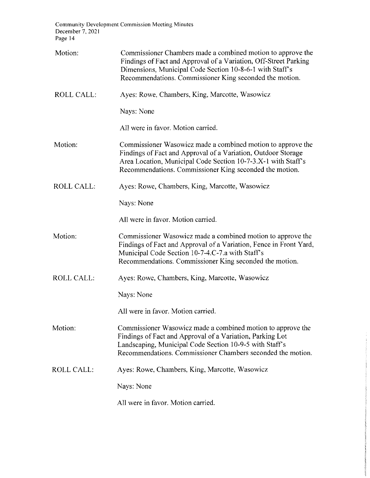**Community Development Commission Meeting Minutes**  December 7, 2021 Page 14

| Motion:           | Commissioner Chambers made a combined motion to approve the<br>Findings of Fact and Approval of a Variation, Off-Street Parking<br>Dimensions, Municipal Code Section 10-8-6-1 with Staff's<br>Recommendations. Commissioner King seconded the motion.   |
|-------------------|----------------------------------------------------------------------------------------------------------------------------------------------------------------------------------------------------------------------------------------------------------|
| <b>ROLL CALL:</b> | Ayes: Rowe, Chambers, King, Marcotte, Wasowicz                                                                                                                                                                                                           |
|                   | Nays: None                                                                                                                                                                                                                                               |
|                   | All were in favor. Motion carried.                                                                                                                                                                                                                       |
| Motion:           | Commissioner Wasowicz made a combined motion to approve the<br>Findings of Fact and Approval of a Variation, Outdoor Storage<br>Area Location, Municipal Code Section 10-7-3.X-1 with Staff's<br>Recommendations. Commissioner King seconded the motion. |
| <b>ROLL CALL:</b> | Ayes: Rowe, Chambers, King, Marcotte, Wasowicz                                                                                                                                                                                                           |
|                   | Nays: None                                                                                                                                                                                                                                               |
|                   | All were in favor. Motion carried.                                                                                                                                                                                                                       |
| Motion:           | Commissioner Wasowicz made a combined motion to approve the<br>Findings of Fact and Approval of a Variation, Fence in Front Yard,<br>Municipal Code Section 10-7-4.C-7.a with Staff's<br>Recommendations. Commissioner King seconded the motion.         |
| <b>ROLL CALL:</b> | Ayes: Rowe, Chambers, King, Marcotte, Wasowicz                                                                                                                                                                                                           |
|                   | Nays: None                                                                                                                                                                                                                                               |
|                   | All were in favor. Motion carried.                                                                                                                                                                                                                       |
| Motion:           | Commissioner Wasowicz made a combined motion to approve the<br>Findings of Fact and Approval of a Variation, Parking Lot<br>Landscaping, Municipal Code Section 10-9-5 with Staff's<br>Recommendations. Commissioner Chambers seconded the motion.       |
| ROLL CALL.        | Ayes: Rowe, Chambers, King, Marcotte, Wasowicz                                                                                                                                                                                                           |
|                   | Nays: None                                                                                                                                                                                                                                               |
|                   | All were in favor. Motion carried.                                                                                                                                                                                                                       |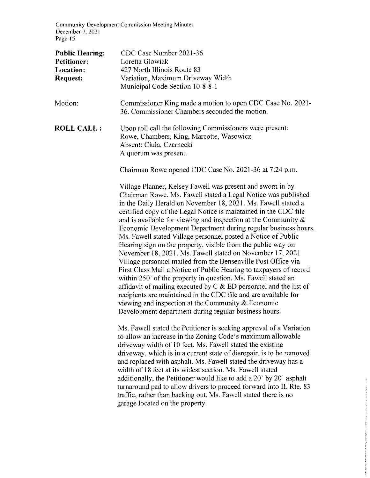**Community Development Commission Meeting Minutes**  December 7, 2021 Page 15

| <b>Public Hearing:</b><br><b>Petitioner:</b><br>Location:<br><b>Request:</b> | CDC Case Number 2021-36<br>Loretta Glowiak<br>427 North Illinois Route 83<br>Variation, Maximum Driveway Width<br>Municipal Code Section 10-8-8-1                                                                                                                                                                                                                                                                                                                                                                                                                                                                                                                                                                                                                                                                                                                                                                                                                                                                                                                           |
|------------------------------------------------------------------------------|-----------------------------------------------------------------------------------------------------------------------------------------------------------------------------------------------------------------------------------------------------------------------------------------------------------------------------------------------------------------------------------------------------------------------------------------------------------------------------------------------------------------------------------------------------------------------------------------------------------------------------------------------------------------------------------------------------------------------------------------------------------------------------------------------------------------------------------------------------------------------------------------------------------------------------------------------------------------------------------------------------------------------------------------------------------------------------|
| Motion:                                                                      | Commissioner King made a motion to open CDC Case No. 2021-<br>36. Commissioner Chambers seconded the motion.                                                                                                                                                                                                                                                                                                                                                                                                                                                                                                                                                                                                                                                                                                                                                                                                                                                                                                                                                                |
| <b>ROLL CALL:</b>                                                            | Upon roll call the following Commissioners were present:<br>Rowe, Chambers, King, Marcotte, Wasowicz<br>Absent: Ciula, Czarnecki<br>A quorum was present.                                                                                                                                                                                                                                                                                                                                                                                                                                                                                                                                                                                                                                                                                                                                                                                                                                                                                                                   |
|                                                                              | Chairman Rowe opened CDC Case No. 2021-36 at 7:24 p.m.                                                                                                                                                                                                                                                                                                                                                                                                                                                                                                                                                                                                                                                                                                                                                                                                                                                                                                                                                                                                                      |
|                                                                              | Village Planner, Kelsey Fawell was present and sworn in by<br>Chairman Rowe. Ms. Fawell stated a Legal Notice was published<br>in the Daily Herald on November 18, 2021. Ms. Fawell stated a<br>certified copy of the Legal Notice is maintained in the CDC file<br>and is available for viewing and inspection at the Community $\&$<br>Economic Development Department during regular business hours.<br>Ms. Fawell stated Village personnel posted a Notice of Public<br>Hearing sign on the property, visible from the public way on<br>November 18, 2021. Ms. Fawell stated on November 17, 2021<br>Village personnel mailed from the Bensenville Post Office via<br>First Class Mail a Notice of Public Hearing to taxpayers of record<br>within 250' of the property in question. Ms. Fawell stated an<br>affidavit of mailing executed by $C & E$ ED personnel and the list of<br>recipients are maintained in the CDC file and are available for<br>viewing and inspection at the Community $\&$ Economic<br>Development department during regular business hours. |
|                                                                              | Ms. Fawell stated the Petitioner is seeking approval of a Variation<br>to allow an increase in the Zoning Code's maximum allowable<br>driveway width of 10 feet. Ms. Fawell stated the existing<br>driveway, which is in a current state of disrepair, is to be removed<br>and replaced with asphalt. Ms. Fawell stated the driveway has a<br>width of 18 feet at its widest section. Ms. Fawell stated<br>additionally, the Petitioner would like to add a 20' by 20' asphalt<br>turnaround pad to allow drivers to proceed forward into IL Rte. 83<br>traffic, rather than backing out. Ms. Fawell stated there is no<br>garage located on the property.                                                                                                                                                                                                                                                                                                                                                                                                                  |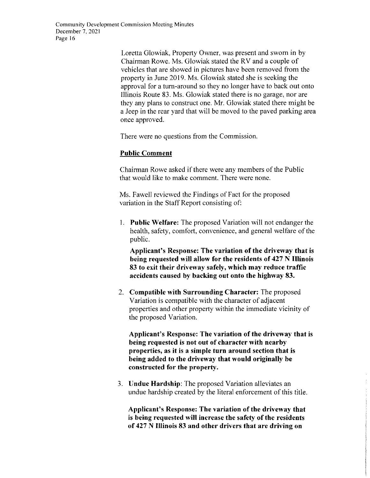Loretta Glowiak, Property Owner, was present and sworn in by Chairman Rowe, Ms, Glowiak stated the RV and a couple of vehicles that are showed in pictures have been removed from the property in June 2019, Ms, Glowiak stated she is seeking the approval for a tum-around so they no longer have to back out onto lllinois Route 83, Ms, Glowiak stated there is no garage, nor are they any plans to construct one, Mr, Glowiak stated there might be a Jeep in the rear yard that will be moved to the paved parking area once approved,

There were no questions from the Commission,

# **Public Comment**

Chairman Rowe asked if there were any members of the Public that would like to make comment. There were none,

Ms, Fawell reviewed the Findings of Fact for the proposed variation in the Staff Report consisting of:

L **Public Welfare:** The proposed Variation will not endanger the health, safety, comfort, convenience, and general welfare of the public,

**Applicant's Response: The variation of the driveway that is being requested will allow for the residents of 427 N Illinois 83 to exit their driveway safely, which may reduce traffic accidents caused by backing out onto the highway 83.** 

2. **Compatible with Surrounding Character:** The proposed Variation is compatible with the character of adjacent properties and other property within the immediate vicinity of the proposed Variation.

**Applicant's Response: The variation of the driveway that is being requested is not out of character with nearby properties, as it is a simple turn around section that is being added to the driveway that would originally be constructed for the property.** 

3. **Undue Hardship:** The proposed Variation alleviates an undue hardship created by the literal enforcement of this title.

**Applicant's Response: The variation of the driveway that is being requested will increase the safety of the residents of 427 N Illinois 83 and other drivers that are driving on**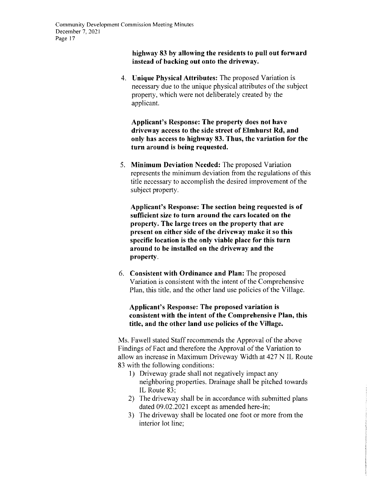#### **highway 83 by allowing the residents to pull out forward instead of backing out onto the driveway.**

4. **Unique Physical Attributes:** The proposed Variation is necessary due to the unique physical attributes of the subject property, which were not deliberately created by the applicant.

**Applicant's Response: The property does not have driveway access to the side street of Elmhurst Rd, and only has access to highway 83. Thus, the variation for the turn around is being requested.** 

5. **Minimum Deviation Needed:** The proposed Variation represents the minimum deviation from the regulations of this title necessary to accomplish the desired improvement of the subject property.

**Applicant's Response: The section being requested is of sufficient size to turn around the cars located on the property. The large trees on the property that are present on either side of the driveway make it so this specific location is the only viable place for this turn around to be installed on the driveway and the property.** 

6. **Consistent with Ordinance and Plan:** The proposed Variation is consistent with the intent of the Comprehensive Plan, this title, and the other land use policies of the Village.

#### **Applicant's Response: The proposed variation is consistent with the intent of the Comprehensive Plan, this title, and the other land use policies of the Village.**

Ms. Fawell stated Staff recommends the Approval of the above Findings of Fact and therefore the Approval of the Variation to allow an increase in Maximum Driveway Width at 427 N IL Route 83 with the following conditions:

- I) Driveway grade shall not negatively impact any neighboring properties. Drainage shall be pitched towards IL Route 83;
- 2) The driveway shall be in accordance with submitted plans dated 09.02.2021 except as amended here-in;
- 3) The driveway shall be located one foot or more from the interior lot line;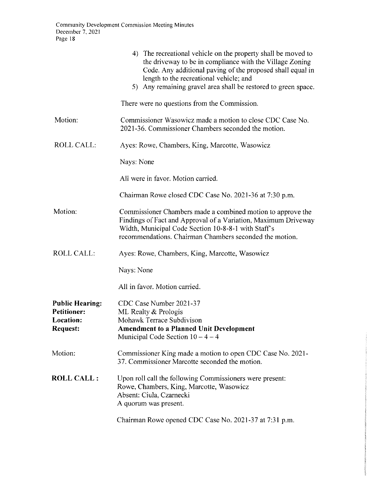|                                                                              | 4) The recreational vehicle on the property shall be moved to<br>the driveway to be in compliance with the Village Zoning<br>Code. Any additional paving of the proposed shall equal in<br>length to the recreational vehicle; and<br>5) Any remaining gravel area shall be restored to green space. |
|------------------------------------------------------------------------------|------------------------------------------------------------------------------------------------------------------------------------------------------------------------------------------------------------------------------------------------------------------------------------------------------|
|                                                                              | There were no questions from the Commission.                                                                                                                                                                                                                                                         |
| Motion:                                                                      | Commissioner Wasowicz made a motion to close CDC Case No.<br>2021-36. Commissioner Chambers seconded the motion.                                                                                                                                                                                     |
| <b>ROLL CALL:</b>                                                            | Ayes: Rowe, Chambers, King, Marcotte, Wasowicz                                                                                                                                                                                                                                                       |
|                                                                              | Nays: None                                                                                                                                                                                                                                                                                           |
|                                                                              | All were in favor. Motion carried.                                                                                                                                                                                                                                                                   |
|                                                                              | Chairman Rowe closed CDC Case No. 2021-36 at 7:30 p.m.                                                                                                                                                                                                                                               |
| Motion:                                                                      | Commissioner Chambers made a combined motion to approve the<br>Findings of Fact and Approval of a Variation, Maximum Driveway<br>Width, Municipal Code Section 10-8-8-1 with Staff's<br>recommendations. Chairman Chambers seconded the motion.                                                      |
| <b>ROLL CALL:</b>                                                            | Ayes: Rowe, Chambers, King, Marcotte, Wasowicz                                                                                                                                                                                                                                                       |
|                                                                              | Nays: None                                                                                                                                                                                                                                                                                           |
|                                                                              | All in favor. Motion carried.                                                                                                                                                                                                                                                                        |
| <b>Public Hearing:</b><br><b>Petitioner:</b><br>Location:<br><b>Request:</b> | CDC Case Number 2021-37<br>ML Realty $&$ Prologis<br>Mohawk Terrace Subdivison<br><b>Amendment to a Planned Unit Development</b><br>Municipal Code Section $10 - 4 - 4$                                                                                                                              |
| Motion:                                                                      | Commissioner King made a motion to open CDC Case No. 2021-<br>37. Commissioner Marcotte seconded the motion.                                                                                                                                                                                         |
| <b>ROLL CALL :</b>                                                           | Upon roll call the following Commissioners were present:<br>Rowe, Chambers, King, Marcotte, Wasowicz<br>Absent: Ciula, Czarnecki<br>A quorum was present.                                                                                                                                            |
|                                                                              | Chairman Rowe opened CDC Case No. 2021-37 at 7:31 p.m.                                                                                                                                                                                                                                               |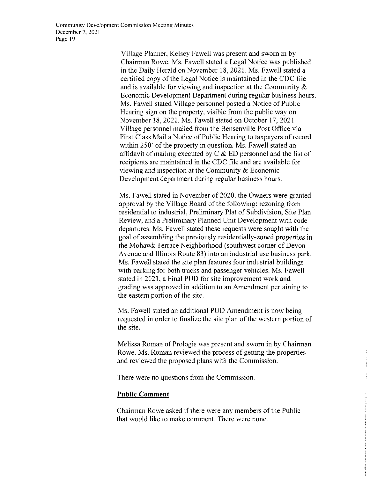Village Planner, Kelsey Fawell was present and sworn in by Chairman Rowe. Ms. Fawell stated a Legal Notice was published in the Daily Herald on November 18, 2021. Ms. Fawell stated a certified copy of the Legal Notice is maintained in the CDC file and is available for viewing and inspection at the Community  $\&$ Economic Development Department during regular business hours. Ms. Fawell stated Village personnel posted a Notice of Public Hearing sign on the property, visible from the public way on November 18, 2021. Ms. Fawell stated on October 17, 2021 Village personnel mailed from the Bensenville Post Office via First Class Mail a Notice of Public Hearing to taxpayers of record within 250' of the property in question. Ms. Fawell stated an affidavit of mailing executed by  $C & E$  ED personnel and the list of recipients are maintained in the CDC file and are available for viewing and inspection at the Community & Economic Development department during regular business hours.

Ms. Fawell stated in November of 2020, the Owners were granted approval by the Village Board of the following: rezoning from residential to industrial, Preliminary Plat of Subdivision, Site Plan Review, and a Preliminary Planned Unit Development with code departures. Ms. Fawell stated these requests were sought with the goal of assembling the previously residentially-zoned properties in the Mohawk Terrace Neighborhood (southwest comer of Devon Avenue and Illinois Route 83) into an industrial use business park. Ms. Fawell stated the site plan features four industrial buildings with parking for both trucks and passenger vehicles. Ms. Fawell stated in 2021, a Final PUD for site improvement work and grading was approved in addition to an Amendment pertaining to the eastern portion of the site.

Ms. Fawell stated an additional PUD Amendment is now being requested in order to finalize the site plan of the western portion of the site.

Melissa Roman of Prologis was present and sworn in by Chairman Rowe. Ms. Roman reviewed the process of getting the properties and reviewed the proposed plans with the Commission.

There were no questions from the Commission.

#### **Public Comment**

Chairman Rowe asked if there were any members of the Public that would like to make comment. There were none.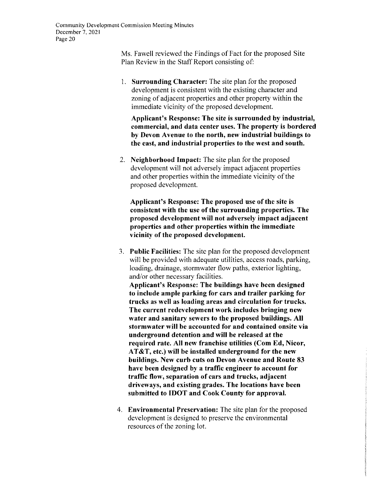Ms, Fawell reviewed the Findings of Fact for the proposed Site Plan Review in the Staff Report consisting of:

I, **Surrounding Character:** The site plan for the proposed development is consistent with the existing character and zoning of adjacent properties and other property within the immediate vicinity of the proposed development,

**Applicant's Response: The site is surrounded by industrial, commercial, and data center uses. The property is bordered by Devon Avenue to the north, new industrial buildings to the east, and industrial properties to the west and south.** 

2, **Neighborhood Impact:** The site plan for the proposed development will not adversely impact adjacent properties and other properties within the immediate vicinity of the proposed development,

**Applicant's Response: The proposed use of the site is consistent with the use of the surrounding properties. The proposed development will not adversely impact adjacent properties and other properties within the immediate vicinity of the proposed development.** 

3, **Public Facilities:** The site plan for the proposed development will be provided with adequate utilities, access roads, parking, loading, drainage, stormwater flow paths, exterior lighting, and/or other necessary facilities,

**Applicant's Response: The buildings have been designed to include ample parking for cars and trailer parking for trucks as well as loading areas and circulation for trucks. The current redevelopment work includes bringing new water and sanitary sewers to the proposed buildings. All stormwater will be accounted for and contained onsite via underground detention and will be released at the required rate. All new franchise utilities (Com Ed, Nicor, AT&T, etc.) will be installed underground for the new buildings. New curb cuts on Devon Avenue and Route 83 have been designed by a traffic engineer to account for traffic flow, separation of cars and trucks, adjacent driveways, and existing grades. The locations have been submitted to IDOT and Cook County for approval.** 

4. **Environmental Preservation:** The site plan for the proposed development is designed to preserve the environmental resources of the zoning lot.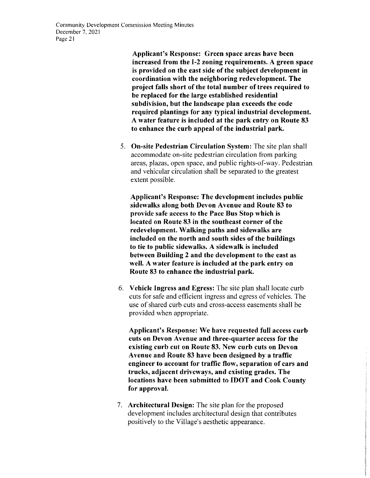**Applicant's Response: Green space areas have been increased from the 1-2 zoning requirements. A green space is provided on the east side of the subject development in coordination with the neighboring redevelopment. The project falls short of the total number of trees required to be replaced for the large established residential subdivision, but the landscape plan exceeds the code required plantings for any typical industrial development. A water feature is included at the park entry on Route 83 to enhance the curb appeal of the industrial park.** 

5, **On-site Pedestrian Circulation System:** The site plan shall accommodate on-site pedestrian circulation from parking areas, plazas, open space, and public rights-of-way, Pedestrian and vehicular circulation shall be separated to the greatest extent possible.

**Applicant's Response: The development includes public sidewalks along both Devon Avenue and Route 83 to provide safe access to the Pace Bus Stop which is located on Route 83 in the southeast corner of the redevelopment. Walking paths and sidewalks are included ou the north and south sides of the buildings to tie to public sidewalks. A sidewalk is included between Building 2 and the development to the east as well. A water feature is included at the park entry on Route 83 to enhance the industrial park.** 

6. **Vehicle Ingress and Egress:** The site plan shall locate curb cuts for safe and efficient ingress and egress of vehicles. The use of shared curb cuts and cross-access easements shall be provided when appropriate.

**Applicant's Response: We have requested full access curb cuts on Devon Avenue and three-quarter access for the existing curb cut on Route 83. New curb cuts on Devon Avenue and Route 83 have been designed by a traffic engineer to account for traffic flow, separation of cars and trucks, adjacent driveways, and existing grades. The locations have been submitted to IDOT and Cook County for approval.** 

7. **Architectural Design:** The site plan for the proposed development includes architectural design that contributes positively to the Village's aesthetic appearance.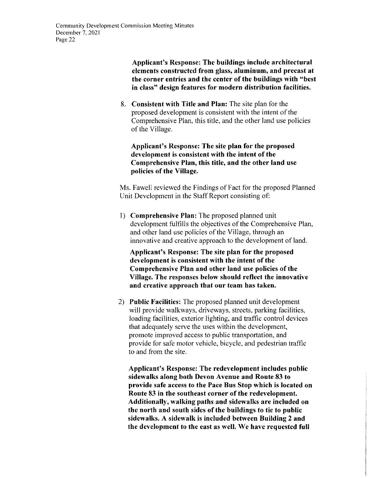**Applicant's Response: The buildings include architectural elements constructed from glass, aluminum, and precast at the corner entries and the center of the buildings with "best in class" design features for modern distribution facilities.** 

8. **Consistent with Title and Plan:** The site plan for the proposed development is consistent with the intent of the Comprehensive Plan, this title, and the other land use policies of the Village.

**Applicant's Response: The site plan for the proposed development is consistent with the intent of the Comprehensive Plan, this title, and the other land use policies of the Village.** 

Ms. Fawell reviewed the Findings of Fact for the proposed Planned Unit Development in the Staff Report consisting of:

I) **Comprehensive Plan:** The proposed planned unit development fulfills the objectives of the Comprehensive Plan, and other land use policies of the Village, through an innovative and creative approach to the development of land.

**Applicant's Response: The site plan for the proposed development is consistent with the intent of the Comprehensive Plan and other land use policies of the Village. The responses below should reflect the innovative and creative approach that our team has taken.** 

2) **Public Facilities:** The proposed planned unit development will provide walkways, driveways, streets, parking facilities, loading facilities, exterior lighting, and traffic control devices that adequately serve the uses within the development, promote improved access to public transportation, and provide for safe motor vehicle, bicycle, and pedestrian traffic to and from the site.

**Applicant's Response: The redevelopment includes public sidewalks along both Devon Avenue and Route 83 to provide safe access to the Pace Bus Stop which is located on Route 83 in the southeast corner of the redevelopment. Additionally, walking paths and sidewalks are included on the north and south sides of the buildings to tie to public sidewalks. A sidewalk is included between Building 2 and the development to the east as well. We have requested full**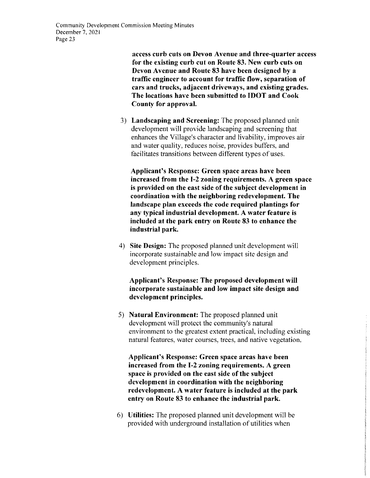**access curb cuts on Devon Avenue and three-quarter access for the existing curb cut on Route 83. New curb cuts on Devon Avenue and Route 83 have been designed by a traffic engineer to account for traffic flow, separation of cars and trucks, adjacent driveways, and existing grades. The locations have been submitted to IDOT and Cook County for approval.** 

3) **Landscaping and Screening:** The proposed planned unit development will provide landscaping and screening that enhances the Village's character and livability, improves air and water quality, reduces noise, provides buffers, and facilitates transitions between different types of uses.

**Applicant's Response: Green space areas have been increased from the I-2 zoning requirements. A green space is provided on the east side of the subject development in coordination with the neighboring redevelopment. The landscape plan exceeds the code required plantings for any typical industrial development. A water feature is included at the park entry on Route 83 to enhance the industrial park.** 

4) **Site Design:** The proposed planned unit development will incorporate sustainable and low impact site design and development principles.

#### **Applicant's Response: The proposed development will incorporate sustainable and low impact site design and development principles.**

5) **Natural Environment:** The proposed planned unit development will protect the community's natural environment to the greatest extent practical, including existing natural features, water courses, trees, and native vegetation.

**Applicant's Response: Green space areas have been increased from the 1-2 zoning requirements. A green space is provided on the east side of the subject development in coordination with the neighboring redevelopment. A water feature is included at the park entry on Route 83 to enhance the industrial park.** 

6) **Utilities:** The proposed planned unit development will be provided with underground installation of utilities when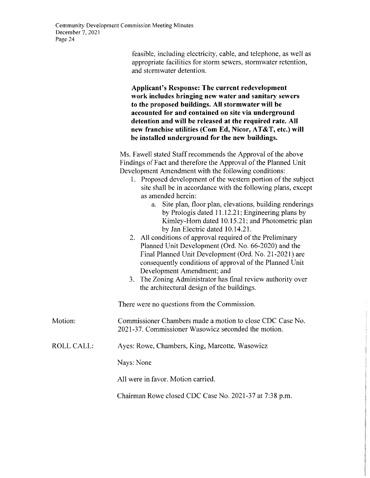feasible, including electricity, cable, and telephone, as well as appropriate facilities for storm sewers, stormwater retention, and stormwater detention.

**Applicant's Response: The current redevelopment work includes bringing new water and sanitary sewers to the proposed buildings. All stormwater will be accounted for and contained on site via underground detention and will be released at the required rate. All new franchise utilities (Com Ed, Nicor, AT&T, etc.) will be installed underground for the new buildings.** 

Ms. Fawell stated Staff recommends the Approval of the above Findings of Fact and therefore the Approval of the Planned Unit Development Amendment with the following conditions:

- I. Proposed development of the western portion of the subject site shall be in accordance with the following plans, except as amended herein:
	- a. Site plan, floor plan, elevations, building renderings by Prologis dated 11.12.21; Engineering plans by Kimley-Horn dated 10.15.21; and Photometric plan by Jan Electric dated 10.14.21.
- 2. All conditions of approval required of the Preliminary Planned Unit Development (Ord. No. 66-2020) and the Final Planned Unit Development (Ord. No. 21-2021) are consequently conditions of approval of the Planned Unit Development Amendment; and
- 3. The Zoning Administrator has final review authority over the architectural design of the buildings.

There were no questions from the Commission.

#### Motion: Commissioner Chambers made a motion to close CDC Case No. 2021-37. Commissioner Wasowicz seconded the motion.

ROLL CALL: Ayes: Rowe, Chambers, King, Marcotte, Wasowicz

Nays: None

All were in favor. Motion carried.

Chairman Rowe closed CDC Case No. 2021-37 at 7:38 p.m.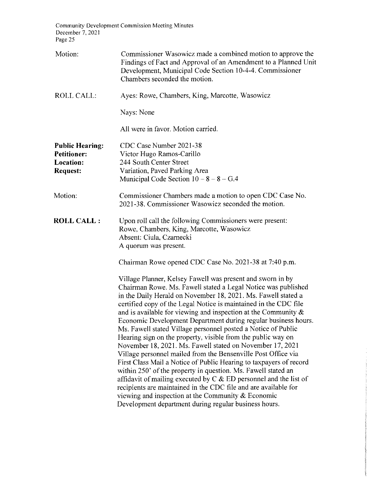**Community Development Commission Meeting Minutes**  December 7, 2021 Page 25

| Motion:                                                                      | Commissioner Wasowicz made a combined motion to approve the<br>Findings of Fact and Approval of an Amendment to a Planned Unit<br>Development, Municipal Code Section 10-4-4. Commissioner<br>Chambers seconded the motion.                                                                                                                                                                                                                                                                                                                                                                                                                                                                                                                                                                                                                                                                                                                                                                                                                                              |
|------------------------------------------------------------------------------|--------------------------------------------------------------------------------------------------------------------------------------------------------------------------------------------------------------------------------------------------------------------------------------------------------------------------------------------------------------------------------------------------------------------------------------------------------------------------------------------------------------------------------------------------------------------------------------------------------------------------------------------------------------------------------------------------------------------------------------------------------------------------------------------------------------------------------------------------------------------------------------------------------------------------------------------------------------------------------------------------------------------------------------------------------------------------|
| <b>ROLL CALL:</b>                                                            | Ayes: Rowe, Chambers, King, Marcotte, Wasowicz                                                                                                                                                                                                                                                                                                                                                                                                                                                                                                                                                                                                                                                                                                                                                                                                                                                                                                                                                                                                                           |
|                                                                              | Nays: None                                                                                                                                                                                                                                                                                                                                                                                                                                                                                                                                                                                                                                                                                                                                                                                                                                                                                                                                                                                                                                                               |
|                                                                              | All were in favor. Motion carried.                                                                                                                                                                                                                                                                                                                                                                                                                                                                                                                                                                                                                                                                                                                                                                                                                                                                                                                                                                                                                                       |
| <b>Public Hearing:</b><br><b>Petitioner:</b><br>Location:<br><b>Request:</b> | CDC Case Number 2021-38<br>Victor Hugo Ramos-Carillo<br>244 South Center Street<br>Variation, Paved Parking Area<br>Municipal Code Section $10 - 8 - 8 - G.4$                                                                                                                                                                                                                                                                                                                                                                                                                                                                                                                                                                                                                                                                                                                                                                                                                                                                                                            |
| Motion:                                                                      | Commissioner Chambers made a motion to open CDC Case No.<br>2021-38. Commissioner Wasowicz seconded the motion.                                                                                                                                                                                                                                                                                                                                                                                                                                                                                                                                                                                                                                                                                                                                                                                                                                                                                                                                                          |
| <b>ROLL CALL:</b>                                                            | Upon roll call the following Commissioners were present:<br>Rowe, Chambers, King, Marcotte, Wasowicz<br>Absent: Ciula, Czarnecki<br>A quorum was present.                                                                                                                                                                                                                                                                                                                                                                                                                                                                                                                                                                                                                                                                                                                                                                                                                                                                                                                |
|                                                                              | Chairman Rowe opened CDC Case No. 2021-38 at 7:40 p.m.                                                                                                                                                                                                                                                                                                                                                                                                                                                                                                                                                                                                                                                                                                                                                                                                                                                                                                                                                                                                                   |
|                                                                              | Village Planner, Kelsey Fawell was present and sworn in by<br>Chairman Rowe. Ms. Fawell stated a Legal Notice was published<br>in the Daily Herald on November 18, 2021. Ms. Fawell stated a<br>certified copy of the Legal Notice is maintained in the CDC file<br>and is available for viewing and inspection at the Community $\&$<br>Economic Development Department during regular business hours.<br>Ms. Fawell stated Village personnel posted a Notice of Public<br>Hearing sign on the property, visible from the public way on<br>November 18, 2021. Ms. Fawell stated on November 17, 2021<br>Village personnel mailed from the Bensenville Post Office via<br>First Class Mail a Notice of Public Hearing to taxpayers of record<br>within 250' of the property in question. Ms. Fawell stated an<br>affidavit of mailing executed by $C & ED$ personnel and the list of<br>recipients are maintained in the CDC file and are available for<br>viewing and inspection at the Community $&$ Economic<br>Development department during regular business hours. |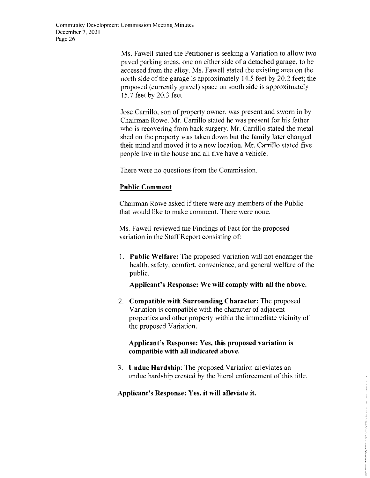Ms, Fawell stated the Petitioner is seeking a Variation to allow two paved parking areas, one on either side of a detached garage, to be accessed from the alley. Ms. Fawell stated the existing area on the north side of the garage is approximately 14.5 feet by 20.2 feet; the proposed (currently gravel) space on south side is approximately 15.7 feet by 20.3 feet.

Jose Carrillo, son of property owner, was present and sworn in by Chairman Rowe. Mr. Carrillo stated he was present for his father who is recovering from back surgery. Mr. Carrillo stated the metal shed on the property was taken down but the family later changed their mind and moved it to a new location. Mr. Carrillo stated five people live in the house and all five have a vehicle.

There were no questions from the Commission.

# **Public Comment**

Chairman Rowe asked if there were any members of the Public that would like to make comment. There were none.

Ms. Fawell reviewed the Findings of Fact for the proposed variation in the Staff Report consisting of:

I. **Public Welfare:** The proposed Variation will not endanger the health, safety, comfort, convenience, and general welfare of the public.

**Applicant's Response: We will comply with all the above.** 

2. **Compatible with Surrounding Character:** The proposed Variation is compatible with the character of adjacent properties and other property within the immediate vicinity of the proposed Variation.

#### **Applicant's Response: Yes, this proposed variation is compatible with all indicated above.**

3. **Undue Hardship:** The proposed Variation alleviates an undue hardship created by the literal enforcement of this title.

# **Applicant's Response: Yes, it will alleviate it.**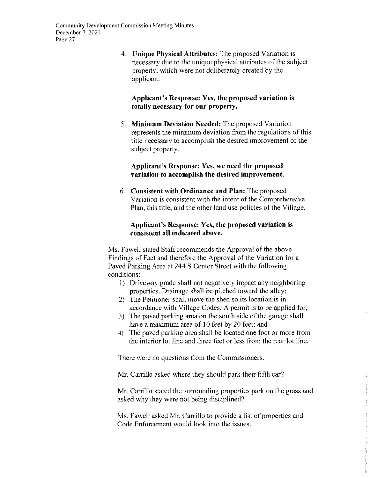4. **Unique Physical Attributes:** The proposed Variation is necessary due to the unique physical attributes of the subject property, which were not deliberately created by the applicant.

# **Applicant's Response: Yes, the proposed variation is totally necessary for our property.**

5. **Minimum Deviation Needed:** The proposed Variation represents the minimum deviation from the regulations of this title necessary to accomplish the desired improvement of the subject property.

#### **Applicant's Response: Yes, we need the proposed variation to accomplish the desired improvement.**

6. **Consistent with Ordinance and Plan:** The proposed Variation is consistent with the intent of the Comprehensive Plan, this title, and the other land use policies of the Village.

#### **Applicant's Response: Yes, the proposed variation is consistent all indicated above.**

Ms. Fawell stated Staff recommends the Approval of the above Findings of Fact and therefore the Approval of the Variation for a Paved Parking Area at 244 S Center Street with the following conditions:

- I) Driveway grade shall not negatively impact any neighboring properties. Drainage shall be pitched toward the alley;
- 2) The Petitioner shall move the shed so its location is in accordance with Village Codes. A permit is to be applied for;
- 3) The paved parking area on the south side of the garage shall have a maximum area of 10 feet by 20 feet; and
- 4) The paved parking area shall be located one foot or more from the interior lot line and three feet or less from the rear lot line.

There were no questions from the Commissioners.

Mr. Carrillo asked where they should park their fifth car?

Mr. Carrillo stated the surrounding properties park on the grass and asked why they were not being disciplined?

Ms. Fawell asked Mr. Carrillo to provide a list of properties and Code Enforcement would look into the issues.